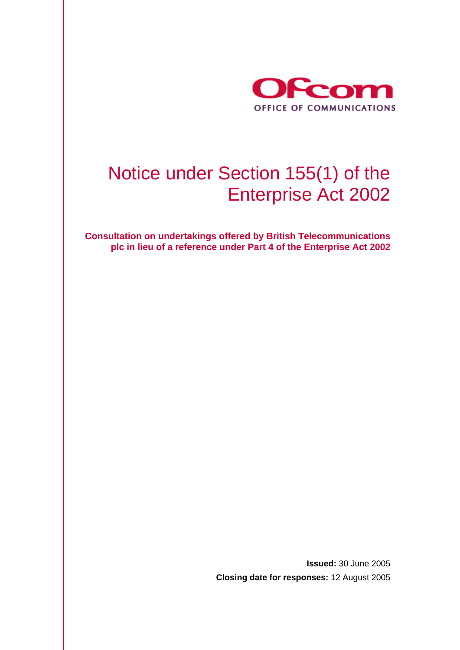

# Notice under Section 155(1) of the Enterprise Act 2002

**Consultation on undertakings offered by British Telecommunications plc in lieu of a reference under Part 4 of the Enterprise Act 2002** 

> **Issued:** 30 June 2005 **Closing date for responses:** 12 August 2005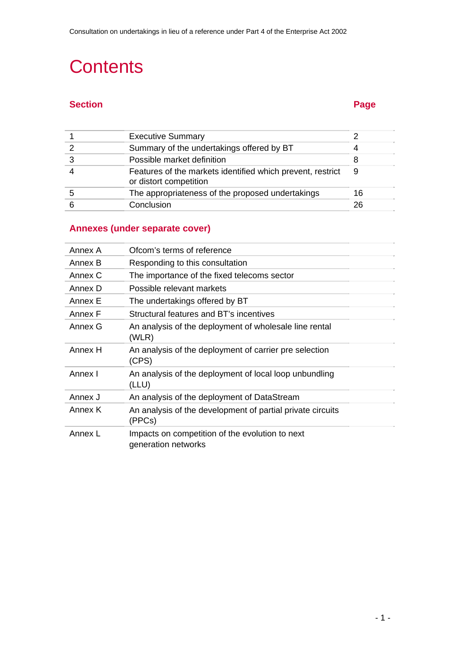# **Contents**

# **Section Page 2018**

| <b>Executive Summary</b>                                                             |    |
|--------------------------------------------------------------------------------------|----|
| Summary of the undertakings offered by BT                                            |    |
| Possible market definition                                                           |    |
| Features of the markets identified which prevent, restrict<br>or distort competition | 9  |
| The appropriateness of the proposed undertakings                                     | 16 |
| Conclusion                                                                           | 26 |

# **Annexes (under separate cover)**

| Annex A | Ofcom's terms of reference                                             |
|---------|------------------------------------------------------------------------|
| Annex B | Responding to this consultation                                        |
| Annex C | The importance of the fixed telecoms sector                            |
| Annex D | Possible relevant markets                                              |
| Annex E | The undertakings offered by BT                                         |
| Annex F | Structural features and BT's incentives                                |
| Annex G | An analysis of the deployment of wholesale line rental<br>(WLR)        |
| Annex H | An analysis of the deployment of carrier pre selection<br>(CPS)        |
| Annex I | An analysis of the deployment of local loop unbundling<br>(LLU)        |
| Annex J | An analysis of the deployment of DataStream                            |
| Annex K | An analysis of the development of partial private circuits<br>(PPCs)   |
| Annex L | Impacts on competition of the evolution to next<br>generation networks |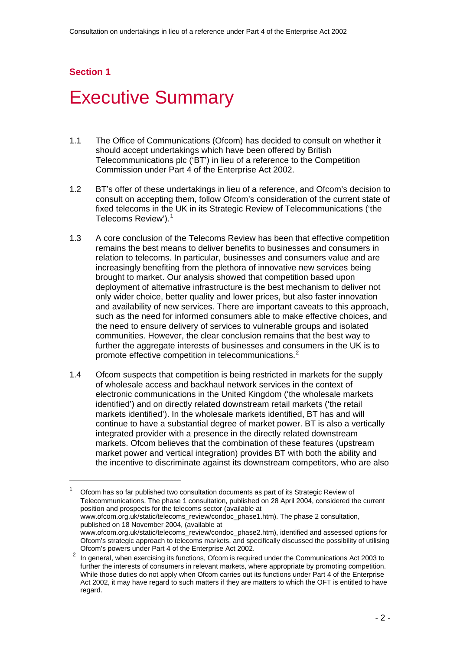l

# Executive Summary

- 1.1 The Office of Communications (Ofcom) has decided to consult on whether it should accept undertakings which have been offered by British Telecommunications plc ('BT') in lieu of a reference to the Competition Commission under Part 4 of the Enterprise Act 2002.
- 1.2 BT's offer of these undertakings in lieu of a reference, and Ofcom's decision to consult on accepting them, follow Ofcom's consideration of the current state of fixed telecoms in the UK in its Strategic Review of Telecommunications ('the Telecoms Review').<sup>[1](#page-3-0)</sup>
- 1.3 A core conclusion of the Telecoms Review has been that effective competition remains the best means to deliver benefits to businesses and consumers in relation to telecoms. In particular, businesses and consumers value and are increasingly benefiting from the plethora of innovative new services being brought to market. Our analysis showed that competition based upon deployment of alternative infrastructure is the best mechanism to deliver not only wider choice, better quality and lower prices, but also faster innovation and availability of new services. There are important caveats to this approach, such as the need for informed consumers able to make effective choices, and the need to ensure delivery of services to vulnerable groups and isolated communities. However, the clear conclusion remains that the best way to further the aggregate interests of businesses and consumers in the UK is to promote effective competition in telecommunications.<sup>[2](#page-3-1)</sup>
- 1.4 Ofcom suspects that competition is being restricted in markets for the supply of wholesale access and backhaul network services in the context of electronic communications in the United Kingdom ('the wholesale markets identified') and on directly related downstream retail markets ('the retail markets identified'). In the wholesale markets identified, BT has and will continue to have a substantial degree of market power. BT is also a vertically integrated provider with a presence in the directly related downstream markets. Ofcom believes that the combination of these features (upstream market power and vertical integration) provides BT with both the ability and the incentive to discriminate against its downstream competitors, who are also

<span id="page-3-0"></span><sup>1</sup> Ofcom has so far published two consultation documents as part of its Strategic Review of Telecommunications. The phase 1 consultation, published on 28 April 2004, considered the current position and prospects for the telecoms sector (available at www.ofcom.org.uk/static/telecoms\_review/condoc\_phase1.htm). The phase 2 consultation, published on 18 November 2004, (available at

www.ofcom.org.uk/static/telecoms\_review/condoc\_phase2.htm), identified and assessed options for Ofcom's strategic approach to telecoms markets, and specifically discussed the possibility of utilising Ofcom's powers under Part 4 of the Enterprise Act 2002.

<span id="page-3-1"></span> $2$  In general, when exercising its functions, Ofcom is required under the Communications Act 2003 to further the interests of consumers in relevant markets, where appropriate by promoting competition. While those duties do not apply when Ofcom carries out its functions under Part 4 of the Enterprise Act 2002, it may have regard to such matters if they are matters to which the OFT is entitled to have regard.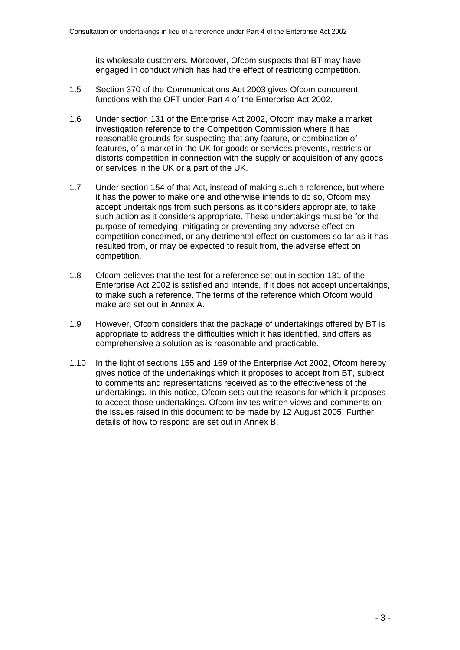its wholesale customers. Moreover, Ofcom suspects that BT may have engaged in conduct which has had the effect of restricting competition.

- 1.5 Section 370 of the Communications Act 2003 gives Ofcom concurrent functions with the OFT under Part 4 of the Enterprise Act 2002.
- 1.6 Under section 131 of the Enterprise Act 2002, Ofcom may make a market investigation reference to the Competition Commission where it has reasonable grounds for suspecting that any feature, or combination of features, of a market in the UK for goods or services prevents, restricts or distorts competition in connection with the supply or acquisition of any goods or services in the UK or a part of the UK.
- 1.7 Under section 154 of that Act, instead of making such a reference, but where it has the power to make one and otherwise intends to do so, Ofcom may accept undertakings from such persons as it considers appropriate, to take such action as it considers appropriate. These undertakings must be for the purpose of remedying, mitigating or preventing any adverse effect on competition concerned, or any detrimental effect on customers so far as it has resulted from, or may be expected to result from, the adverse effect on competition.
- 1.8 Ofcom believes that the test for a reference set out in section 131 of the Enterprise Act 2002 is satisfied and intends, if it does not accept undertakings, to make such a reference. The terms of the reference which Ofcom would make are set out in Annex A.
- 1.9 However, Ofcom considers that the package of undertakings offered by BT is appropriate to address the difficulties which it has identified, and offers as comprehensive a solution as is reasonable and practicable.
- 1.10 In the light of sections 155 and 169 of the Enterprise Act 2002, Ofcom hereby gives notice of the undertakings which it proposes to accept from BT, subject to comments and representations received as to the effectiveness of the undertakings. In this notice, Ofcom sets out the reasons for which it proposes to accept those undertakings. Ofcom invites written views and comments on the issues raised in this document to be made by 12 August 2005. Further details of how to respond are set out in Annex B.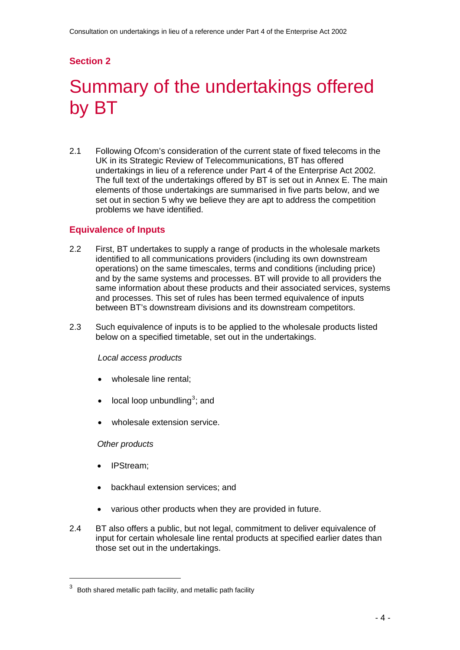# Summary of the undertakings offered by BT

2.1 Following Ofcom's consideration of the current state of fixed telecoms in the UK in its Strategic Review of Telecommunications, BT has offered undertakings in lieu of a reference under Part 4 of the Enterprise Act 2002. The full text of the undertakings offered by BT is set out in Annex E. The main elements of those undertakings are summarised in five parts below, and we set out in section 5 why we believe they are apt to address the competition problems we have identified.

## **Equivalence of Inputs**

- 2.2 First, BT undertakes to supply a range of products in the wholesale markets identified to all communications providers (including its own downstream operations) on the same timescales, terms and conditions (including price) and by the same systems and processes. BT will provide to all providers the same information about these products and their associated services, systems and processes. This set of rules has been termed equivalence of inputs between BT's downstream divisions and its downstream competitors.
- 2.3 Such equivalence of inputs is to be applied to the wholesale products listed below on a specified timetable, set out in the undertakings.

#### *Local access products*

- wholesale line rental:
- $\bullet$  local loop unbundling<sup>[3](#page-5-0)</sup>; and
- wholesale extension service.

*Other products* 

• IPStream;

- backhaul extension services; and
- various other products when they are provided in future.
- 2.4 BT also offers a public, but not legal, commitment to deliver equivalence of input for certain wholesale line rental products at specified earlier dates than those set out in the undertakings.

<span id="page-5-0"></span> $3$  Both shared metallic path facility, and metallic path facility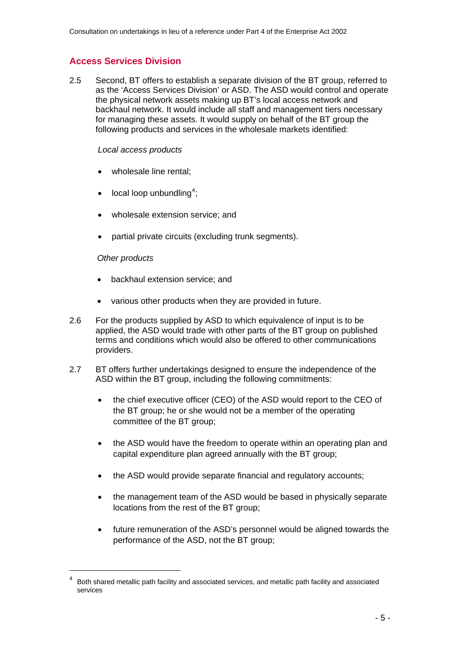# **Access Services Division**

2.5 Second, BT offers to establish a separate division of the BT group, referred to as the 'Access Services Division' or ASD. The ASD would control and operate the physical network assets making up BT's local access network and backhaul network. It would include all staff and management tiers necessary for managing these assets. It would supply on behalf of the BT group the following products and services in the wholesale markets identified:

#### *Local access products*

- wholesale line rental:
- $\bullet$  local loop unbundling<sup>[4](#page-6-0)</sup>;
- wholesale extension service; and
- partial private circuits (excluding trunk segments).

#### *Other products*

- backhaul extension service; and
- various other products when they are provided in future.
- 2.6 For the products supplied by ASD to which equivalence of input is to be applied, the ASD would trade with other parts of the BT group on published terms and conditions which would also be offered to other communications providers.
- 2.7 BT offers further undertakings designed to ensure the independence of the ASD within the BT group, including the following commitments:
	- the chief executive officer (CEO) of the ASD would report to the CEO of the BT group; he or she would not be a member of the operating committee of the BT group;
	- the ASD would have the freedom to operate within an operating plan and capital expenditure plan agreed annually with the BT group;
	- the ASD would provide separate financial and regulatory accounts;
	- the management team of the ASD would be based in physically separate locations from the rest of the BT group;
	- future remuneration of the ASD's personnel would be aligned towards the performance of the ASD, not the BT group;

<span id="page-6-0"></span><sup>4</sup> Both shared metallic path facility and associated services, and metallic path facility and associated services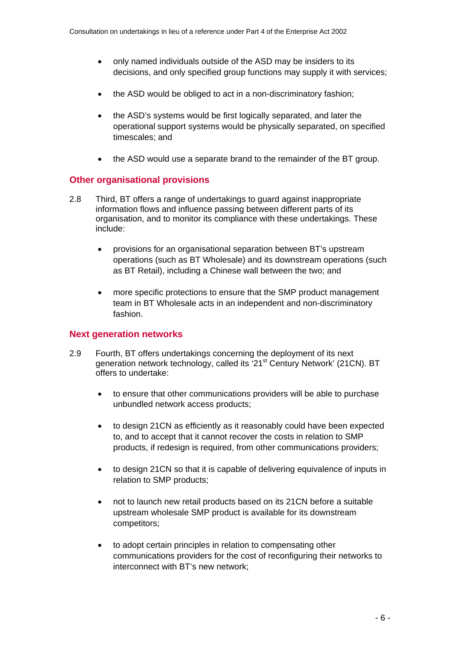- only named individuals outside of the ASD may be insiders to its decisions, and only specified group functions may supply it with services;
- the ASD would be obliged to act in a non-discriminatory fashion;
- the ASD's systems would be first logically separated, and later the operational support systems would be physically separated, on specified timescales; and
- the ASD would use a separate brand to the remainder of the BT group.

## **Other organisational provisions**

- 2.8 Third, BT offers a range of undertakings to guard against inappropriate information flows and influence passing between different parts of its organisation, and to monitor its compliance with these undertakings. These include:
	- provisions for an organisational separation between BT's upstream operations (such as BT Wholesale) and its downstream operations (such as BT Retail), including a Chinese wall between the two; and
	- more specific protections to ensure that the SMP product management team in BT Wholesale acts in an independent and non-discriminatory fashion.

# **Next generation networks**

- 2.9 Fourth, BT offers undertakings concerning the deployment of its next generation network technology, called its '21<sup>st</sup> Century Network' (21CN). BT offers to undertake:
	- to ensure that other communications providers will be able to purchase unbundled network access products;
	- to design 21CN as efficiently as it reasonably could have been expected to, and to accept that it cannot recover the costs in relation to SMP products, if redesign is required, from other communications providers;
	- to design 21CN so that it is capable of delivering equivalence of inputs in relation to SMP products;
	- not to launch new retail products based on its 21CN before a suitable upstream wholesale SMP product is available for its downstream competitors;
	- to adopt certain principles in relation to compensating other communications providers for the cost of reconfiguring their networks to interconnect with BT's new network;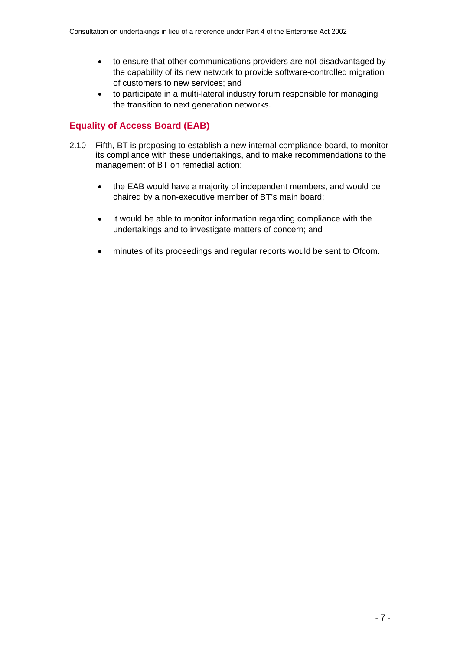- to ensure that other communications providers are not disadvantaged by the capability of its new network to provide software-controlled migration of customers to new services; and
- to participate in a multi-lateral industry forum responsible for managing the transition to next generation networks.

# **Equality of Access Board (EAB)**

- 2.10 Fifth, BT is proposing to establish a new internal compliance board, to monitor its compliance with these undertakings, and to make recommendations to the management of BT on remedial action:
	- the EAB would have a majority of independent members, and would be chaired by a non-executive member of BT's main board;
	- it would be able to monitor information regarding compliance with the undertakings and to investigate matters of concern; and
	- minutes of its proceedings and regular reports would be sent to Ofcom.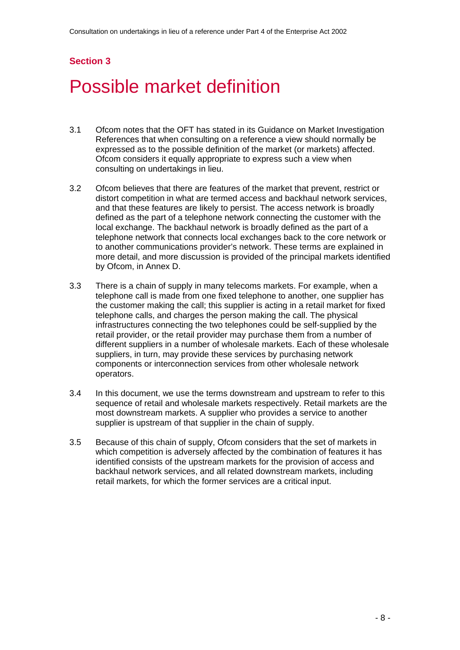# Possible market definition

- 3.1 Ofcom notes that the OFT has stated in its Guidance on Market Investigation References that when consulting on a reference a view should normally be expressed as to the possible definition of the market (or markets) affected. Ofcom considers it equally appropriate to express such a view when consulting on undertakings in lieu.
- 3.2 Ofcom believes that there are features of the market that prevent, restrict or distort competition in what are termed access and backhaul network services, and that these features are likely to persist. The access network is broadly defined as the part of a telephone network connecting the customer with the local exchange. The backhaul network is broadly defined as the part of a telephone network that connects local exchanges back to the core network or to another communications provider's network. These terms are explained in more detail, and more discussion is provided of the principal markets identified by Ofcom, in Annex D.
- 3.3 There is a chain of supply in many telecoms markets. For example, when a telephone call is made from one fixed telephone to another, one supplier has the customer making the call; this supplier is acting in a retail market for fixed telephone calls, and charges the person making the call. The physical infrastructures connecting the two telephones could be self-supplied by the retail provider, or the retail provider may purchase them from a number of different suppliers in a number of wholesale markets. Each of these wholesale suppliers, in turn, may provide these services by purchasing network components or interconnection services from other wholesale network operators.
- 3.4 In this document, we use the terms downstream and upstream to refer to this sequence of retail and wholesale markets respectively. Retail markets are the most downstream markets. A supplier who provides a service to another supplier is upstream of that supplier in the chain of supply.
- 3.5 Because of this chain of supply, Ofcom considers that the set of markets in which competition is adversely affected by the combination of features it has identified consists of the upstream markets for the provision of access and backhaul network services, and all related downstream markets, including retail markets, for which the former services are a critical input.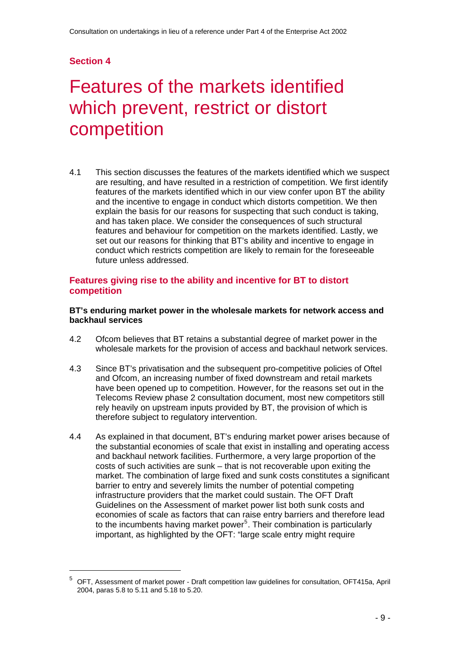l

# Features of the markets identified which prevent, restrict or distort competition

4.1 This section discusses the features of the markets identified which we suspect are resulting, and have resulted in a restriction of competition. We first identify features of the markets identified which in our view confer upon BT the ability and the incentive to engage in conduct which distorts competition. We then explain the basis for our reasons for suspecting that such conduct is taking, and has taken place. We consider the consequences of such structural features and behaviour for competition on the markets identified. Lastly, we set out our reasons for thinking that BT's ability and incentive to engage in conduct which restricts competition are likely to remain for the foreseeable future unless addressed.

### **Features giving rise to the ability and incentive for BT to distort competition**

#### **BT's enduring market power in the wholesale markets for network access and backhaul services**

- 4.2 Ofcom believes that BT retains a substantial degree of market power in the wholesale markets for the provision of access and backhaul network services.
- 4.3 Since BT's privatisation and the subsequent pro-competitive policies of Oftel and Ofcom, an increasing number of fixed downstream and retail markets have been opened up to competition. However, for the reasons set out in the Telecoms Review phase 2 consultation document, most new competitors still rely heavily on upstream inputs provided by BT, the provision of which is therefore subject to regulatory intervention.
- 4.4 As explained in that document, BT's enduring market power arises because of the substantial economies of scale that exist in installing and operating access and backhaul network facilities. Furthermore, a very large proportion of the costs of such activities are sunk – that is not recoverable upon exiting the market. The combination of large fixed and sunk costs constitutes a significant barrier to entry and severely limits the number of potential competing infrastructure providers that the market could sustain. The OFT Draft Guidelines on the Assessment of market power list both sunk costs and economies of scale as factors that can raise entry barriers and therefore lead to the incumbents having market power<sup>[5](#page-10-0)</sup>. Their combination is particularly important, as highlighted by the OFT: "large scale entry might require

<span id="page-10-0"></span><sup>5</sup> OFT, Assessment of market power - Draft competition law guidelines for consultation, OFT415a, April 2004, paras 5.8 to 5.11 and 5.18 to 5.20.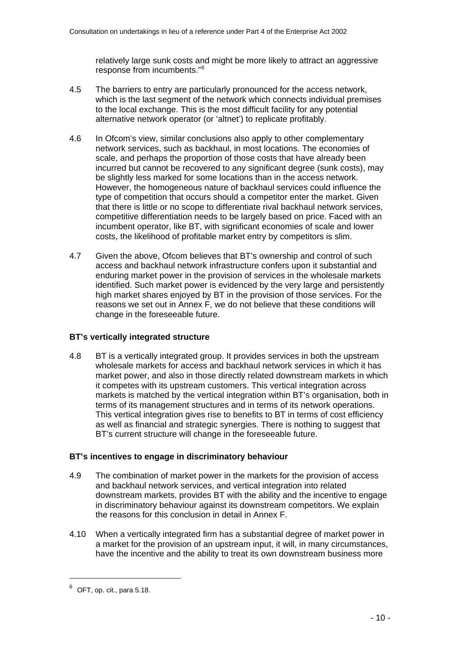relatively large sunk costs and might be more likely to attract an aggressive response from incumbents."[6](#page-11-0)

- 4.5 The barriers to entry are particularly pronounced for the access network, which is the last segment of the network which connects individual premises to the local exchange. This is the most difficult facility for any potential alternative network operator (or 'altnet') to replicate profitably.
- 4.6 In Ofcom's view, similar conclusions also apply to other complementary network services, such as backhaul, in most locations. The economies of scale, and perhaps the proportion of those costs that have already been incurred but cannot be recovered to any significant degree (sunk costs), may be slightly less marked for some locations than in the access network. However, the homogeneous nature of backhaul services could influence the type of competition that occurs should a competitor enter the market. Given that there is little or no scope to differentiate rival backhaul network services, competitive differentiation needs to be largely based on price. Faced with an incumbent operator, like BT, with significant economies of scale and lower costs, the likelihood of profitable market entry by competitors is slim.
- 4.7 Given the above, Ofcom believes that BT's ownership and control of such access and backhaul network infrastructure confers upon it substantial and enduring market power in the provision of services in the wholesale markets identified. Such market power is evidenced by the very large and persistently high market shares enjoyed by BT in the provision of those services. For the reasons we set out in Annex F, we do not believe that these conditions will change in the foreseeable future.

### **BT's vertically integrated structure**

4.8 BT is a vertically integrated group. It provides services in both the upstream wholesale markets for access and backhaul network services in which it has market power, and also in those directly related downstream markets in which it competes with its upstream customers. This vertical integration across markets is matched by the vertical integration within BT's organisation, both in terms of its management structures and in terms of its network operations. This vertical integration gives rise to benefits to BT in terms of cost efficiency as well as financial and strategic synergies. There is nothing to suggest that BT's current structure will change in the foreseeable future.

### **BT's incentives to engage in discriminatory behaviour**

- 4.9 The combination of market power in the markets for the provision of access and backhaul network services, and vertical integration into related downstream markets, provides BT with the ability and the incentive to engage in discriminatory behaviour against its downstream competitors. We explain the reasons for this conclusion in detail in Annex F.
- 4.10 When a vertically integrated firm has a substantial degree of market power in a market for the provision of an upstream input, it will, in many circumstances, have the incentive and the ability to treat its own downstream business more

<span id="page-11-0"></span> $^6$  OFT, op. cit., para 5.18.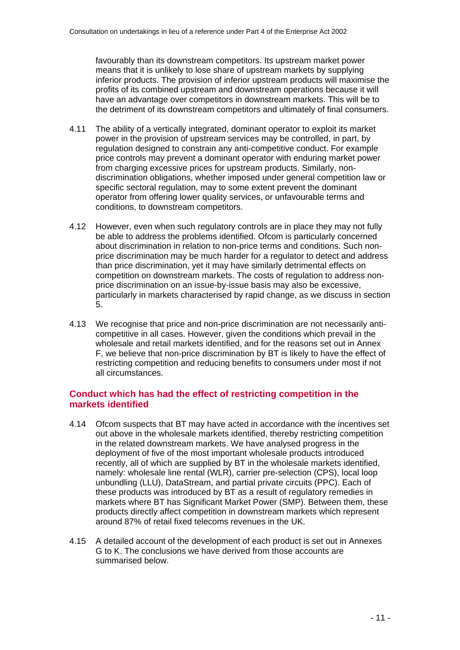favourably than its downstream competitors. Its upstream market power means that it is unlikely to lose share of upstream markets by supplying inferior products. The provision of inferior upstream products will maximise the profits of its combined upstream and downstream operations because it will have an advantage over competitors in downstream markets. This will be to the detriment of its downstream competitors and ultimately of final consumers.

- 4.11 The ability of a vertically integrated, dominant operator to exploit its market power in the provision of upstream services may be controlled, in part, by regulation designed to constrain any anti-competitive conduct. For example price controls may prevent a dominant operator with enduring market power from charging excessive prices for upstream products. Similarly, nondiscrimination obligations, whether imposed under general competition law or specific sectoral regulation, may to some extent prevent the dominant operator from offering lower quality services, or unfavourable terms and conditions, to downstream competitors.
- 4.12 However, even when such regulatory controls are in place they may not fully be able to address the problems identified. Ofcom is particularly concerned about discrimination in relation to non-price terms and conditions. Such nonprice discrimination may be much harder for a regulator to detect and address than price discrimination, yet it may have similarly detrimental effects on competition on downstream markets. The costs of regulation to address nonprice discrimination on an issue-by-issue basis may also be excessive, particularly in markets characterised by rapid change, as we discuss in section 5.
- 4.13 We recognise that price and non-price discrimination are not necessarily anticompetitive in all cases. However, given the conditions which prevail in the wholesale and retail markets identified, and for the reasons set out in Annex F, we believe that non-price discrimination by BT is likely to have the effect of restricting competition and reducing benefits to consumers under most if not all circumstances.

# **Conduct which has had the effect of restricting competition in the markets identified**

- 4.14 Ofcom suspects that BT may have acted in accordance with the incentives set out above in the wholesale markets identified, thereby restricting competition in the related downstream markets. We have analysed progress in the deployment of five of the most important wholesale products introduced recently, all of which are supplied by BT in the wholesale markets identified, namely: wholesale line rental (WLR), carrier pre-selection (CPS), local loop unbundling (LLU), DataStream, and partial private circuits (PPC). Each of these products was introduced by BT as a result of regulatory remedies in markets where BT has Significant Market Power (SMP). Between them, these products directly affect competition in downstream markets which represent around 87% of retail fixed telecoms revenues in the UK.
- 4.15 A detailed account of the development of each product is set out in Annexes G to K. The conclusions we have derived from those accounts are summarised below.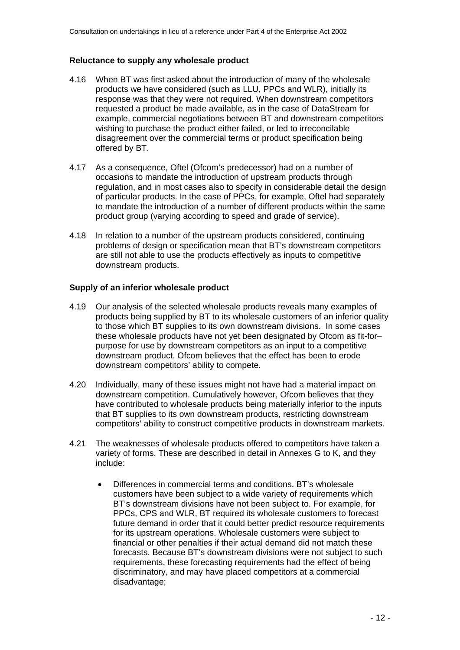#### **Reluctance to supply any wholesale product**

- 4.16 When BT was first asked about the introduction of many of the wholesale products we have considered (such as LLU, PPCs and WLR), initially its response was that they were not required. When downstream competitors requested a product be made available, as in the case of DataStream for example, commercial negotiations between BT and downstream competitors wishing to purchase the product either failed, or led to irreconcilable disagreement over the commercial terms or product specification being offered by BT.
- 4.17 As a consequence, Oftel (Ofcom's predecessor) had on a number of occasions to mandate the introduction of upstream products through regulation, and in most cases also to specify in considerable detail the design of particular products. In the case of PPCs, for example, Oftel had separately to mandate the introduction of a number of different products within the same product group (varying according to speed and grade of service).
- 4.18 In relation to a number of the upstream products considered, continuing problems of design or specification mean that BT's downstream competitors are still not able to use the products effectively as inputs to competitive downstream products.

### **Supply of an inferior wholesale product**

- 4.19 Our analysis of the selected wholesale products reveals many examples of products being supplied by BT to its wholesale customers of an inferior quality to those which BT supplies to its own downstream divisions. In some cases these wholesale products have not yet been designated by Ofcom as fit-for– purpose for use by downstream competitors as an input to a competitive downstream product. Ofcom believes that the effect has been to erode downstream competitors' ability to compete.
- 4.20 Individually, many of these issues might not have had a material impact on downstream competition. Cumulatively however, Ofcom believes that they have contributed to wholesale products being materially inferior to the inputs that BT supplies to its own downstream products, restricting downstream competitors' ability to construct competitive products in downstream markets.
- 4.21 The weaknesses of wholesale products offered to competitors have taken a variety of forms. These are described in detail in Annexes G to K, and they include:
	- Differences in commercial terms and conditions. BT's wholesale customers have been subject to a wide variety of requirements which BT's downstream divisions have not been subject to. For example, for PPCs, CPS and WLR, BT required its wholesale customers to forecast future demand in order that it could better predict resource requirements for its upstream operations. Wholesale customers were subject to financial or other penalties if their actual demand did not match these forecasts. Because BT's downstream divisions were not subject to such requirements, these forecasting requirements had the effect of being discriminatory, and may have placed competitors at a commercial disadvantage;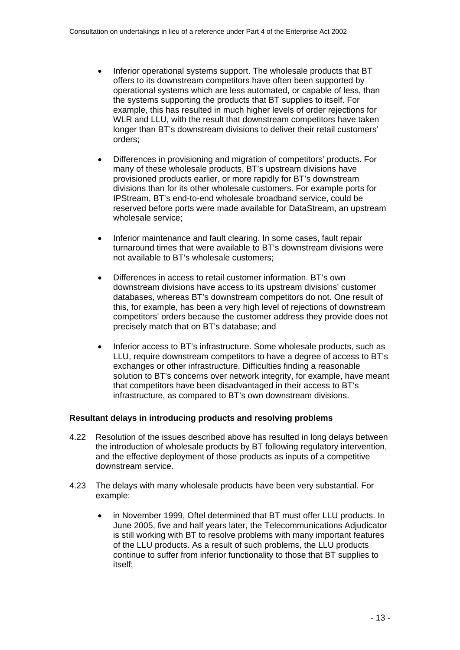- Inferior operational systems support. The wholesale products that BT offers to its downstream competitors have often been supported by operational systems which are less automated, or capable of less, than the systems supporting the products that BT supplies to itself. For example, this has resulted in much higher levels of order rejections for WLR and LLU, with the result that downstream competitors have taken longer than BT's downstream divisions to deliver their retail customers' orders;
- Differences in provisioning and migration of competitors' products. For many of these wholesale products, BT's upstream divisions have provisioned products earlier, or more rapidly for BT's downstream divisions than for its other wholesale customers. For example ports for IPStream, BT's end-to-end wholesale broadband service, could be reserved before ports were made available for DataStream, an upstream wholesale service;
- Inferior maintenance and fault clearing. In some cases, fault repair turnaround times that were available to BT's downstream divisions were not available to BT's wholesale customers;
- Differences in access to retail customer information. BT's own downstream divisions have access to its upstream divisions' customer databases, whereas BT's downstream competitors do not. One result of this, for example, has been a very high level of rejections of downstream competitors' orders because the customer address they provide does not precisely match that on BT's database; and
- Inferior access to BT's infrastructure. Some wholesale products, such as LLU, require downstream competitors to have a degree of access to BT's exchanges or other infrastructure. Difficulties finding a reasonable solution to BT's concerns over network integrity, for example, have meant that competitors have been disadvantaged in their access to BT's infrastructure, as compared to BT's own downstream divisions.

### **Resultant delays in introducing products and resolving problems**

- 4.22 Resolution of the issues described above has resulted in long delays between the introduction of wholesale products by BT following regulatory intervention, and the effective deployment of those products as inputs of a competitive downstream service.
- 4.23 The delays with many wholesale products have been very substantial. For example:
	- in November 1999, Oftel determined that BT must offer LLU products. In June 2005, five and half years later, the Telecommunications Adjudicator is still working with BT to resolve problems with many important features of the LLU products. As a result of such problems, the LLU products continue to suffer from inferior functionality to those that BT supplies to itself;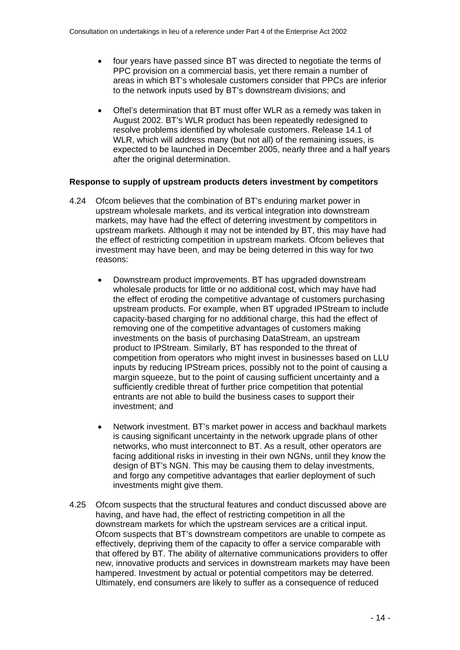- four years have passed since BT was directed to negotiate the terms of PPC provision on a commercial basis, yet there remain a number of areas in which BT's wholesale customers consider that PPCs are inferior to the network inputs used by BT's downstream divisions; and
- Oftel's determination that BT must offer WLR as a remedy was taken in August 2002. BT's WLR product has been repeatedly redesigned to resolve problems identified by wholesale customers. Release 14.1 of WLR, which will address many (but not all) of the remaining issues, is expected to be launched in December 2005, nearly three and a half years after the original determination.

#### **Response to supply of upstream products deters investment by competitors**

- 4.24 Ofcom believes that the combination of BT's enduring market power in upstream wholesale markets, and its vertical integration into downstream markets, may have had the effect of deterring investment by competitors in upstream markets. Although it may not be intended by BT, this may have had the effect of restricting competition in upstream markets. Ofcom believes that investment may have been, and may be being deterred in this way for two reasons:
	- Downstream product improvements. BT has upgraded downstream wholesale products for little or no additional cost, which may have had the effect of eroding the competitive advantage of customers purchasing upstream products. For example, when BT upgraded IPStream to include capacity-based charging for no additional charge, this had the effect of removing one of the competitive advantages of customers making investments on the basis of purchasing DataStream, an upstream product to IPStream. Similarly, BT has responded to the threat of competition from operators who might invest in businesses based on LLU inputs by reducing IPStream prices, possibly not to the point of causing a margin squeeze, but to the point of causing sufficient uncertainty and a sufficiently credible threat of further price competition that potential entrants are not able to build the business cases to support their investment; and
	- Network investment. BT's market power in access and backhaul markets is causing significant uncertainty in the network upgrade plans of other networks, who must interconnect to BT. As a result, other operators are facing additional risks in investing in their own NGNs, until they know the design of BT's NGN. This may be causing them to delay investments, and forgo any competitive advantages that earlier deployment of such investments might give them.
- 4.25 Ofcom suspects that the structural features and conduct discussed above are having, and have had, the effect of restricting competition in all the downstream markets for which the upstream services are a critical input. Ofcom suspects that BT's downstream competitors are unable to compete as effectively, depriving them of the capacity to offer a service comparable with that offered by BT. The ability of alternative communications providers to offer new, innovative products and services in downstream markets may have been hampered. Investment by actual or potential competitors may be deterred. Ultimately, end consumers are likely to suffer as a consequence of reduced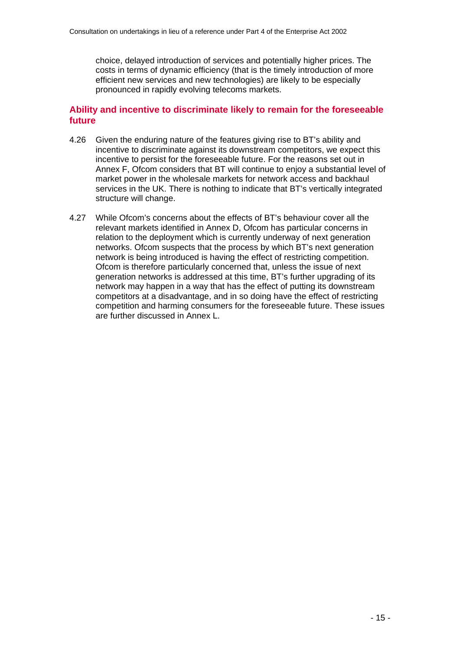choice, delayed introduction of services and potentially higher prices. The costs in terms of dynamic efficiency (that is the timely introduction of more efficient new services and new technologies) are likely to be especially pronounced in rapidly evolving telecoms markets.

# **Ability and incentive to discriminate likely to remain for the foreseeable future**

- 4.26 Given the enduring nature of the features giving rise to BT's ability and incentive to discriminate against its downstream competitors, we expect this incentive to persist for the foreseeable future. For the reasons set out in Annex F, Ofcom considers that BT will continue to enjoy a substantial level of market power in the wholesale markets for network access and backhaul services in the UK. There is nothing to indicate that BT's vertically integrated structure will change.
- 4.27 While Ofcom's concerns about the effects of BT's behaviour cover all the relevant markets identified in Annex D, Ofcom has particular concerns in relation to the deployment which is currently underway of next generation networks. Ofcom suspects that the process by which BT's next generation network is being introduced is having the effect of restricting competition. Ofcom is therefore particularly concerned that, unless the issue of next generation networks is addressed at this time, BT's further upgrading of its network may happen in a way that has the effect of putting its downstream competitors at a disadvantage, and in so doing have the effect of restricting competition and harming consumers for the foreseeable future. These issues are further discussed in Annex L.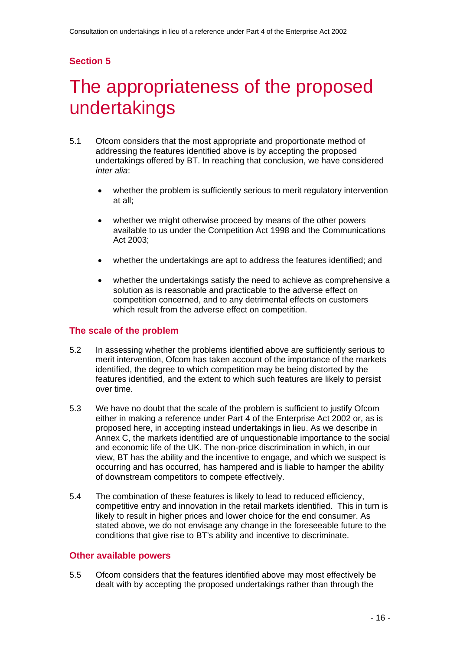# The appropriateness of the proposed undertakings

- 5.1 Ofcom considers that the most appropriate and proportionate method of addressing the features identified above is by accepting the proposed undertakings offered by BT. In reaching that conclusion, we have considered *inter alia*:
	- whether the problem is sufficiently serious to merit regulatory intervention at all;
	- whether we might otherwise proceed by means of the other powers available to us under the Competition Act 1998 and the Communications Act 2003;
	- whether the undertakings are apt to address the features identified; and
	- whether the undertakings satisfy the need to achieve as comprehensive a solution as is reasonable and practicable to the adverse effect on competition concerned, and to any detrimental effects on customers which result from the adverse effect on competition.

## **The scale of the problem**

- 5.2 In assessing whether the problems identified above are sufficiently serious to merit intervention, Ofcom has taken account of the importance of the markets identified, the degree to which competition may be being distorted by the features identified, and the extent to which such features are likely to persist over time.
- 5.3 We have no doubt that the scale of the problem is sufficient to justify Ofcom either in making a reference under Part 4 of the Enterprise Act 2002 or, as is proposed here, in accepting instead undertakings in lieu. As we describe in Annex C, the markets identified are of unquestionable importance to the social and economic life of the UK. The non-price discrimination in which, in our view, BT has the ability and the incentive to engage, and which we suspect is occurring and has occurred, has hampered and is liable to hamper the ability of downstream competitors to compete effectively.
- 5.4 The combination of these features is likely to lead to reduced efficiency, competitive entry and innovation in the retail markets identified. This in turn is likely to result in higher prices and lower choice for the end consumer. As stated above, we do not envisage any change in the foreseeable future to the conditions that give rise to BT's ability and incentive to discriminate.

#### **Other available powers**

5.5 Ofcom considers that the features identified above may most effectively be dealt with by accepting the proposed undertakings rather than through the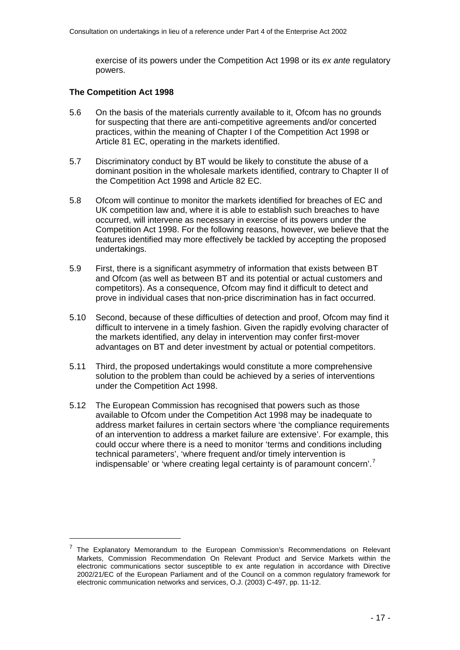exercise of its powers under the Competition Act 1998 or its *ex ante* regulatory powers.

#### **The Competition Act 1998**

- 5.6 On the basis of the materials currently available to it, Ofcom has no grounds for suspecting that there are anti-competitive agreements and/or concerted practices, within the meaning of Chapter I of the Competition Act 1998 or Article 81 EC, operating in the markets identified.
- 5.7 Discriminatory conduct by BT would be likely to constitute the abuse of a dominant position in the wholesale markets identified, contrary to Chapter II of the Competition Act 1998 and Article 82 EC.
- 5.8 Ofcom will continue to monitor the markets identified for breaches of EC and UK competition law and, where it is able to establish such breaches to have occurred, will intervene as necessary in exercise of its powers under the Competition Act 1998. For the following reasons, however, we believe that the features identified may more effectively be tackled by accepting the proposed undertakings.
- 5.9 First, there is a significant asymmetry of information that exists between BT and Ofcom (as well as between BT and its potential or actual customers and competitors). As a consequence, Ofcom may find it difficult to detect and prove in individual cases that non-price discrimination has in fact occurred.
- 5.10 Second, because of these difficulties of detection and proof, Ofcom may find it difficult to intervene in a timely fashion. Given the rapidly evolving character of the markets identified, any delay in intervention may confer first-mover advantages on BT and deter investment by actual or potential competitors.
- 5.11 Third, the proposed undertakings would constitute a more comprehensive solution to the problem than could be achieved by a series of interventions under the Competition Act 1998.
- 5.12 The European Commission has recognised that powers such as those available to Ofcom under the Competition Act 1998 may be inadequate to address market failures in certain sectors where 'the compliance requirements of an intervention to address a market failure are extensive'. For example, this could occur where there is a need to monitor 'terms and conditions including technical parameters', 'where frequent and/or timely intervention is indispensable' or 'where creating legal certainty is of paramount concern'.<sup>[7](#page-18-0)</sup>

<span id="page-18-0"></span><sup>7</sup> The Explanatory Memorandum to the European Commission's Recommendations on Relevant Markets, Commission Recommendation On Relevant Product and Service Markets within the electronic communications sector susceptible to ex ante regulation in accordance with Directive 2002/21/EC of the European Parliament and of the Council on a common regulatory framework for electronic communication networks and services, O.J. (2003) C-497, pp. 11-12.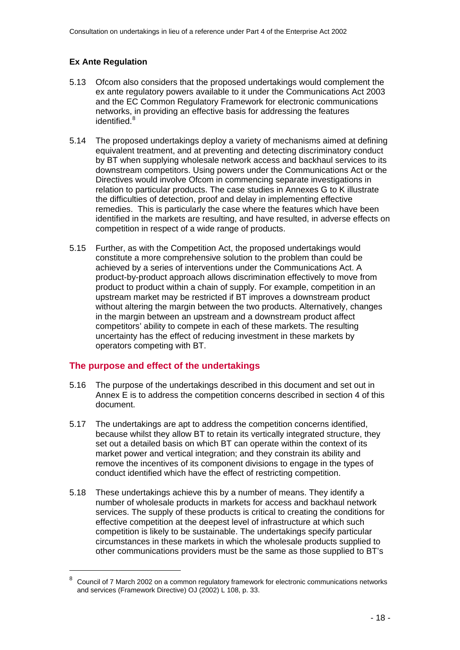# **Ex Ante Regulation**

- 5.13 Ofcom also considers that the proposed undertakings would complement the ex ante regulatory powers available to it under the Communications Act 2003 and the EC Common Regulatory Framework for electronic communications networks, in providing an effective basis for addressing the features identified.<sup>[8](#page-19-0)</sup>
- 5.14 The proposed undertakings deploy a variety of mechanisms aimed at defining equivalent treatment, and at preventing and detecting discriminatory conduct by BT when supplying wholesale network access and backhaul services to its downstream competitors. Using powers under the Communications Act or the Directives would involve Ofcom in commencing separate investigations in relation to particular products. The case studies in Annexes G to K illustrate the difficulties of detection, proof and delay in implementing effective remedies. This is particularly the case where the features which have been identified in the markets are resulting, and have resulted, in adverse effects on competition in respect of a wide range of products.
- 5.15 Further, as with the Competition Act, the proposed undertakings would constitute a more comprehensive solution to the problem than could be achieved by a series of interventions under the Communications Act. A product-by-product approach allows discrimination effectively to move from product to product within a chain of supply. For example, competition in an upstream market may be restricted if BT improves a downstream product without altering the margin between the two products. Alternatively, changes in the margin between an upstream and a downstream product affect competitors' ability to compete in each of these markets. The resulting uncertainty has the effect of reducing investment in these markets by operators competing with BT.

# **The purpose and effect of the undertakings**

- 5.16 The purpose of the undertakings described in this document and set out in Annex E is to address the competition concerns described in section 4 of this document.
- 5.17 The undertakings are apt to address the competition concerns identified, because whilst they allow BT to retain its vertically integrated structure, they set out a detailed basis on which BT can operate within the context of its market power and vertical integration; and they constrain its ability and remove the incentives of its component divisions to engage in the types of conduct identified which have the effect of restricting competition.
- 5.18 These undertakings achieve this by a number of means. They identify a number of wholesale products in markets for access and backhaul network services. The supply of these products is critical to creating the conditions for effective competition at the deepest level of infrastructure at which such competition is likely to be sustainable. The undertakings specify particular circumstances in these markets in which the wholesale products supplied to other communications providers must be the same as those supplied to BT's

<span id="page-19-0"></span><sup>8</sup> Council of 7 March 2002 on a common regulatory framework for electronic communications networks and services (Framework Directive) OJ (2002) L 108, p. 33.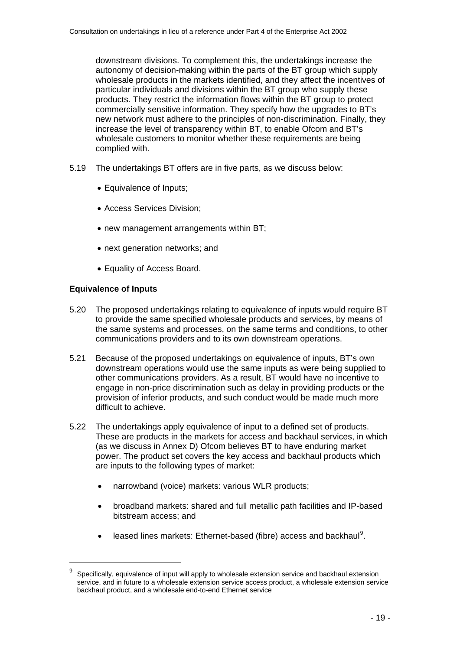downstream divisions. To complement this, the undertakings increase the autonomy of decision-making within the parts of the BT group which supply wholesale products in the markets identified, and they affect the incentives of particular individuals and divisions within the BT group who supply these products. They restrict the information flows within the BT group to protect commercially sensitive information. They specify how the upgrades to BT's new network must adhere to the principles of non-discrimination. Finally, they increase the level of transparency within BT, to enable Ofcom and BT's wholesale customers to monitor whether these requirements are being complied with.

- 5.19 The undertakings BT offers are in five parts, as we discuss below:
	- Equivalence of Inputs;
	- Access Services Division;
	- new management arrangements within BT:
	- next generation networks; and
	- Equality of Access Board.

### **Equivalence of Inputs**

- 5.20 The proposed undertakings relating to equivalence of inputs would require BT to provide the same specified wholesale products and services, by means of the same systems and processes, on the same terms and conditions, to other communications providers and to its own downstream operations.
- 5.21 Because of the proposed undertakings on equivalence of inputs, BT's own downstream operations would use the same inputs as were being supplied to other communications providers. As a result, BT would have no incentive to engage in non-price discrimination such as delay in providing products or the provision of inferior products, and such conduct would be made much more difficult to achieve.
- 5.22 The undertakings apply equivalence of input to a defined set of products. These are products in the markets for access and backhaul services, in which (as we discuss in Annex D) Ofcom believes BT to have enduring market power. The product set covers the key access and backhaul products which are inputs to the following types of market:
	- narrowband (voice) markets: various WLR products;
	- broadband markets: shared and full metallic path facilities and IP-based bitstream access; and
	- $\bullet$  leased lines markets: Ethernet-based (fibre) access and backhaul<sup>[9](#page-20-0)</sup>.

<span id="page-20-0"></span><sup>9</sup> Specifically, equivalence of input will apply to wholesale extension service and backhaul extension service, and in future to a wholesale extension service access product, a wholesale extension service backhaul product, and a wholesale end-to-end Ethernet service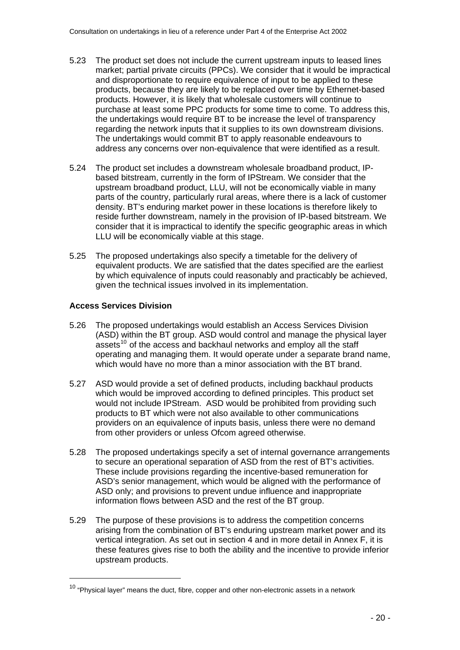- 5.23 The product set does not include the current upstream inputs to leased lines market; partial private circuits (PPCs). We consider that it would be impractical and disproportionate to require equivalence of input to be applied to these products, because they are likely to be replaced over time by Ethernet-based products. However, it is likely that wholesale customers will continue to purchase at least some PPC products for some time to come. To address this, the undertakings would require BT to be increase the level of transparency regarding the network inputs that it supplies to its own downstream divisions. The undertakings would commit BT to apply reasonable endeavours to address any concerns over non-equivalence that were identified as a result.
- 5.24 The product set includes a downstream wholesale broadband product, IPbased bitstream, currently in the form of IPStream. We consider that the upstream broadband product, LLU, will not be economically viable in many parts of the country, particularly rural areas, where there is a lack of customer density. BT's enduring market power in these locations is therefore likely to reside further downstream, namely in the provision of IP-based bitstream. We consider that it is impractical to identify the specific geographic areas in which LLU will be economically viable at this stage.
- 5.25 The proposed undertakings also specify a timetable for the delivery of equivalent products. We are satisfied that the dates specified are the earliest by which equivalence of inputs could reasonably and practicably be achieved, given the technical issues involved in its implementation.

## **Access Services Division**

- 5.26 The proposed undertakings would establish an Access Services Division (ASD) within the BT group. ASD would control and manage the physical layer  $a$ ssets<sup>[10](#page-21-0)</sup> of the access and backhaul networks and employ all the staff operating and managing them. It would operate under a separate brand name, which would have no more than a minor association with the BT brand.
- 5.27 ASD would provide a set of defined products, including backhaul products which would be improved according to defined principles. This product set would not include IPStream. ASD would be prohibited from providing such products to BT which were not also available to other communications providers on an equivalence of inputs basis, unless there were no demand from other providers or unless Ofcom agreed otherwise.
- 5.28 The proposed undertakings specify a set of internal governance arrangements to secure an operational separation of ASD from the rest of BT's activities. These include provisions regarding the incentive-based remuneration for ASD's senior management, which would be aligned with the performance of ASD only; and provisions to prevent undue influence and inappropriate information flows between ASD and the rest of the BT group.
- 5.29 The purpose of these provisions is to address the competition concerns arising from the combination of BT's enduring upstream market power and its vertical integration. As set out in section 4 and in more detail in Annex F, it is these features gives rise to both the ability and the incentive to provide inferior upstream products.

<span id="page-21-0"></span> $10$  "Physical layer" means the duct, fibre, copper and other non-electronic assets in a network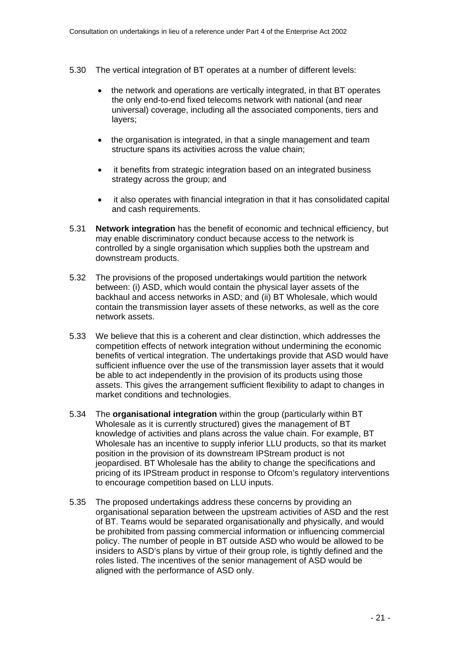- 5.30 The vertical integration of BT operates at a number of different levels:
	- the network and operations are vertically integrated, in that BT operates the only end-to-end fixed telecoms network with national (and near universal) coverage, including all the associated components, tiers and layers;
	- the organisation is integrated, in that a single management and team structure spans its activities across the value chain;
	- it benefits from strategic integration based on an integrated business strategy across the group; and
	- it also operates with financial integration in that it has consolidated capital and cash requirements.
- 5.31 **Network integration** has the benefit of economic and technical efficiency, but may enable discriminatory conduct because access to the network is controlled by a single organisation which supplies both the upstream and downstream products.
- 5.32 The provisions of the proposed undertakings would partition the network between: (i) ASD, which would contain the physical layer assets of the backhaul and access networks in ASD; and (ii) BT Wholesale, which would contain the transmission layer assets of these networks, as well as the core network assets.
- 5.33 We believe that this is a coherent and clear distinction, which addresses the competition effects of network integration without undermining the economic benefits of vertical integration. The undertakings provide that ASD would have sufficient influence over the use of the transmission layer assets that it would be able to act independently in the provision of its products using those assets. This gives the arrangement sufficient flexibility to adapt to changes in market conditions and technologies.
- 5.34 The **organisational integration** within the group (particularly within BT Wholesale as it is currently structured) gives the management of BT knowledge of activities and plans across the value chain. For example, BT Wholesale has an incentive to supply inferior LLU products, so that its market position in the provision of its downstream IPStream product is not jeopardised. BT Wholesale has the ability to change the specifications and pricing of its IPStream product in response to Ofcom's regulatory interventions to encourage competition based on LLU inputs.
- 5.35 The proposed undertakings address these concerns by providing an organisational separation between the upstream activities of ASD and the rest of BT. Teams would be separated organisationally and physically, and would be prohibited from passing commercial information or influencing commercial policy. The number of people in BT outside ASD who would be allowed to be insiders to ASD's plans by virtue of their group role, is tightly defined and the roles listed. The incentives of the senior management of ASD would be aligned with the performance of ASD only.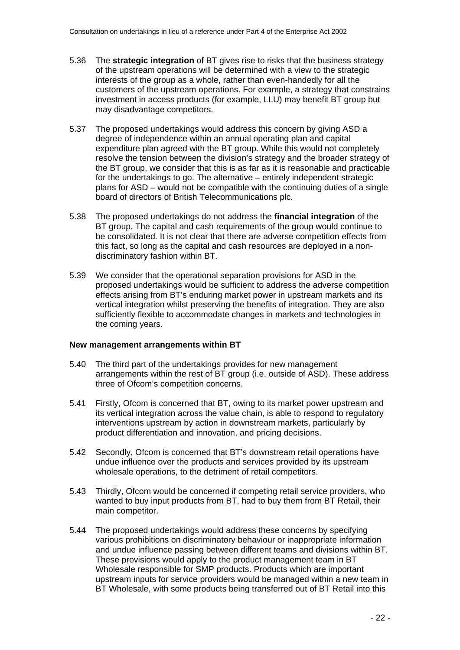- 5.36 The **strategic integration** of BT gives rise to risks that the business strategy of the upstream operations will be determined with a view to the strategic interests of the group as a whole, rather than even-handedly for all the customers of the upstream operations. For example, a strategy that constrains investment in access products (for example, LLU) may benefit BT group but may disadvantage competitors.
- 5.37 The proposed undertakings would address this concern by giving ASD a degree of independence within an annual operating plan and capital expenditure plan agreed with the BT group. While this would not completely resolve the tension between the division's strategy and the broader strategy of the BT group, we consider that this is as far as it is reasonable and practicable for the undertakings to go. The alternative – entirely independent strategic plans for ASD – would not be compatible with the continuing duties of a single board of directors of British Telecommunications plc.
- 5.38 The proposed undertakings do not address the **financial integration** of the BT group. The capital and cash requirements of the group would continue to be consolidated. It is not clear that there are adverse competition effects from this fact, so long as the capital and cash resources are deployed in a nondiscriminatory fashion within BT.
- 5.39 We consider that the operational separation provisions for ASD in the proposed undertakings would be sufficient to address the adverse competition effects arising from BT's enduring market power in upstream markets and its vertical integration whilst preserving the benefits of integration. They are also sufficiently flexible to accommodate changes in markets and technologies in the coming years.

#### **New management arrangements within BT**

- 5.40 The third part of the undertakings provides for new management arrangements within the rest of BT group (i.e. outside of ASD). These address three of Ofcom's competition concerns.
- 5.41 Firstly, Ofcom is concerned that BT, owing to its market power upstream and its vertical integration across the value chain, is able to respond to regulatory interventions upstream by action in downstream markets, particularly by product differentiation and innovation, and pricing decisions.
- 5.42 Secondly, Ofcom is concerned that BT's downstream retail operations have undue influence over the products and services provided by its upstream wholesale operations, to the detriment of retail competitors.
- 5.43 Thirdly, Ofcom would be concerned if competing retail service providers, who wanted to buy input products from BT, had to buy them from BT Retail, their main competitor.
- 5.44 The proposed undertakings would address these concerns by specifying various prohibitions on discriminatory behaviour or inappropriate information and undue influence passing between different teams and divisions within BT. These provisions would apply to the product management team in BT Wholesale responsible for SMP products. Products which are important upstream inputs for service providers would be managed within a new team in BT Wholesale, with some products being transferred out of BT Retail into this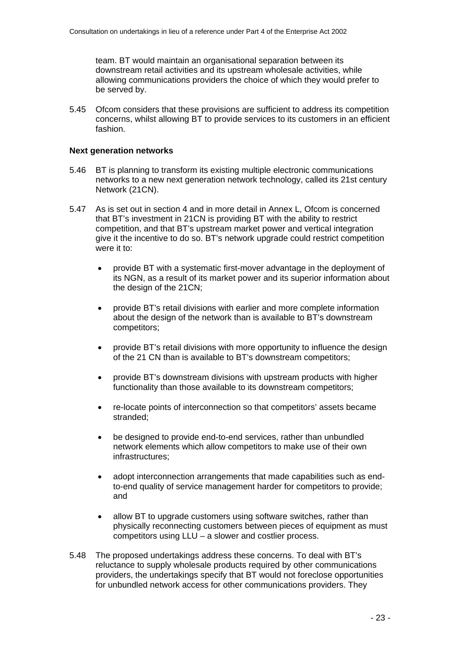team. BT would maintain an organisational separation between its downstream retail activities and its upstream wholesale activities, while allowing communications providers the choice of which they would prefer to be served by.

5.45 Ofcom considers that these provisions are sufficient to address its competition concerns, whilst allowing BT to provide services to its customers in an efficient fashion.

#### **Next generation networks**

- 5.46 BT is planning to transform its existing multiple electronic communications networks to a new next generation network technology, called its 21st century Network (21CN).
- 5.47 As is set out in section 4 and in more detail in Annex L, Ofcom is concerned that BT's investment in 21CN is providing BT with the ability to restrict competition, and that BT's upstream market power and vertical integration give it the incentive to do so. BT's network upgrade could restrict competition were it to:
	- provide BT with a systematic first-mover advantage in the deployment of its NGN, as a result of its market power and its superior information about the design of the 21CN;
	- provide BT's retail divisions with earlier and more complete information about the design of the network than is available to BT's downstream competitors;
	- provide BT's retail divisions with more opportunity to influence the design of the 21 CN than is available to BT's downstream competitors;
	- provide BT's downstream divisions with upstream products with higher functionality than those available to its downstream competitors;
	- re-locate points of interconnection so that competitors' assets became stranded;
	- be designed to provide end-to-end services, rather than unbundled network elements which allow competitors to make use of their own infrastructures;
	- adopt interconnection arrangements that made capabilities such as endto-end quality of service management harder for competitors to provide; and
	- allow BT to upgrade customers using software switches, rather than physically reconnecting customers between pieces of equipment as must competitors using LLU – a slower and costlier process.
- 5.48 The proposed undertakings address these concerns. To deal with BT's reluctance to supply wholesale products required by other communications providers, the undertakings specify that BT would not foreclose opportunities for unbundled network access for other communications providers. They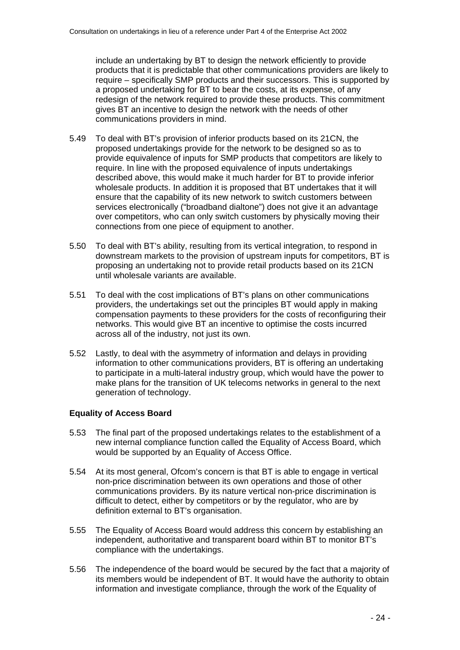include an undertaking by BT to design the network efficiently to provide products that it is predictable that other communications providers are likely to require – specifically SMP products and their successors. This is supported by a proposed undertaking for BT to bear the costs, at its expense, of any redesign of the network required to provide these products. This commitment gives BT an incentive to design the network with the needs of other communications providers in mind.

- 5.49 To deal with BT's provision of inferior products based on its 21CN, the proposed undertakings provide for the network to be designed so as to provide equivalence of inputs for SMP products that competitors are likely to require. In line with the proposed equivalence of inputs undertakings described above, this would make it much harder for BT to provide inferior wholesale products. In addition it is proposed that BT undertakes that it will ensure that the capability of its new network to switch customers between services electronically ("broadband dialtone") does not give it an advantage over competitors, who can only switch customers by physically moving their connections from one piece of equipment to another.
- 5.50 To deal with BT's ability, resulting from its vertical integration, to respond in downstream markets to the provision of upstream inputs for competitors, BT is proposing an undertaking not to provide retail products based on its 21CN until wholesale variants are available.
- 5.51 To deal with the cost implications of BT's plans on other communications providers, the undertakings set out the principles BT would apply in making compensation payments to these providers for the costs of reconfiguring their networks. This would give BT an incentive to optimise the costs incurred across all of the industry, not just its own.
- 5.52 Lastly, to deal with the asymmetry of information and delays in providing information to other communications providers, BT is offering an undertaking to participate in a multi-lateral industry group, which would have the power to make plans for the transition of UK telecoms networks in general to the next generation of technology.

### **Equality of Access Board**

- 5.53 The final part of the proposed undertakings relates to the establishment of a new internal compliance function called the Equality of Access Board, which would be supported by an Equality of Access Office.
- 5.54 At its most general, Ofcom's concern is that BT is able to engage in vertical non-price discrimination between its own operations and those of other communications providers. By its nature vertical non-price discrimination is difficult to detect, either by competitors or by the regulator, who are by definition external to BT's organisation.
- 5.55 The Equality of Access Board would address this concern by establishing an independent, authoritative and transparent board within BT to monitor BT's compliance with the undertakings.
- 5.56 The independence of the board would be secured by the fact that a majority of its members would be independent of BT. It would have the authority to obtain information and investigate compliance, through the work of the Equality of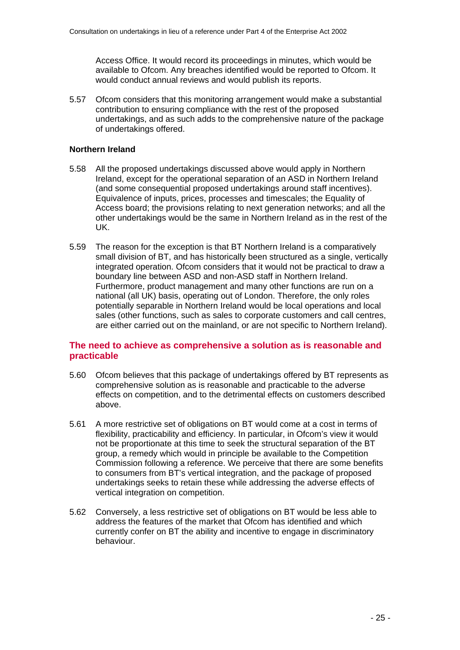Access Office. It would record its proceedings in minutes, which would be available to Ofcom. Any breaches identified would be reported to Ofcom. It would conduct annual reviews and would publish its reports.

5.57 Ofcom considers that this monitoring arrangement would make a substantial contribution to ensuring compliance with the rest of the proposed undertakings, and as such adds to the comprehensive nature of the package of undertakings offered.

#### **Northern Ireland**

- 5.58 All the proposed undertakings discussed above would apply in Northern Ireland, except for the operational separation of an ASD in Northern Ireland (and some consequential proposed undertakings around staff incentives). Equivalence of inputs, prices, processes and timescales; the Equality of Access board; the provisions relating to next generation networks; and all the other undertakings would be the same in Northern Ireland as in the rest of the UK.
- 5.59 The reason for the exception is that BT Northern Ireland is a comparatively small division of BT, and has historically been structured as a single, vertically integrated operation. Ofcom considers that it would not be practical to draw a boundary line between ASD and non-ASD staff in Northern Ireland. Furthermore, product management and many other functions are run on a national (all UK) basis, operating out of London. Therefore, the only roles potentially separable in Northern Ireland would be local operations and local sales (other functions, such as sales to corporate customers and call centres, are either carried out on the mainland, or are not specific to Northern Ireland).

## **The need to achieve as comprehensive a solution as is reasonable and practicable**

- 5.60 Ofcom believes that this package of undertakings offered by BT represents as comprehensive solution as is reasonable and practicable to the adverse effects on competition, and to the detrimental effects on customers described above.
- 5.61 A more restrictive set of obligations on BT would come at a cost in terms of flexibility, practicability and efficiency. In particular, in Ofcom's view it would not be proportionate at this time to seek the structural separation of the BT group, a remedy which would in principle be available to the Competition Commission following a reference. We perceive that there are some benefits to consumers from BT's vertical integration, and the package of proposed undertakings seeks to retain these while addressing the adverse effects of vertical integration on competition.
- 5.62 Conversely, a less restrictive set of obligations on BT would be less able to address the features of the market that Ofcom has identified and which currently confer on BT the ability and incentive to engage in discriminatory behaviour.